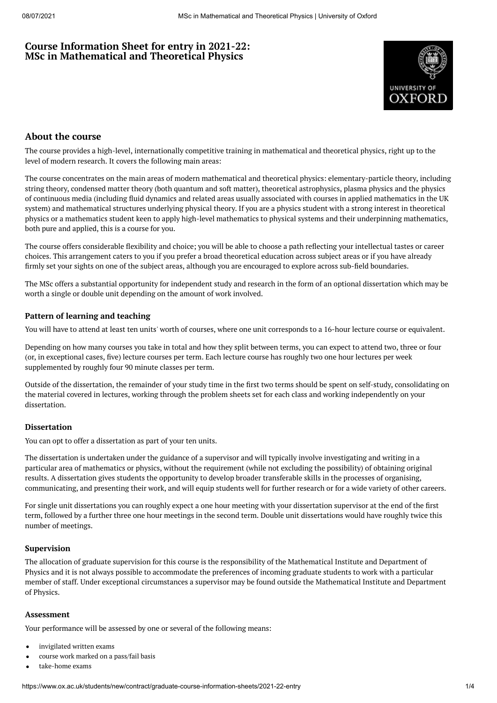# **Course Information Sheet for entry in 2021-22: MSc in Mathematical and Theoretical Physics**



## **About the course**

The course provides a high-level, internationally competitive training in mathematical and theoretical physics, right up to the level of modern research. It covers the following main areas:

The course concentrates on the main areas of modern mathematical and theoretical physics: elementary-particle theory, including string theory, condensed matter theory (both quantum and soft matter), theoretical astrophysics, plasma physics and the physics of continuous media (including fluid dynamics and related areas usually associated with courses in applied mathematics in the UK system) and mathematical structures underlying physical theory. If you are a physics student with a strong interest in theoretical physics or a mathematics student keen to apply high-level mathematics to physical systems and their underpinning mathematics, both pure and applied, this is a course for you.

The course offers considerable flexibility and choice; you will be able to choose a path reflecting your intellectual tastes or career choices. This arrangement caters to you if you prefer a broad theoretical education across subject areas or if you have already firmly set your sights on one of the subject areas, although you are encouraged to explore across sub-field boundaries.

The MSc offers a substantial opportunity for independent study and research in the form of an optional dissertation which may be worth a single or double unit depending on the amount of work involved.

#### **Pattern of learning and teaching**

You will have to attend at least ten units' worth of courses, where one unit corresponds to a 16-hour lecture course or equivalent.

Depending on how many courses you take in total and how they split between terms, you can expect to attend two, three or four (or, in exceptional cases, five) lecture courses per term. Each lecture course has roughly two one hour lectures per week supplemented by roughly four 90 minute classes per term.

Outside of the dissertation, the remainder of your study time in the first two terms should be spent on self-study, consolidating on the material covered in lectures, working through the problem sheets set for each class and working independently on your dissertation.

#### **Dissertation**

You can opt to offer a dissertation as part of your ten units.

The dissertation is undertaken under the guidance of a supervisor and will typically involve investigating and writing in a particular area of mathematics or physics, without the requirement (while not excluding the possibility) of obtaining original results. A dissertation gives students the opportunity to develop broader transferable skills in the processes of organising, communicating, and presenting their work, and will equip students well for further research or for a wide variety of other careers.

For single unit dissertations you can roughly expect a one hour meeting with your dissertation supervisor at the end of the first term, followed by a further three one hour meetings in the second term. Double unit dissertations would have roughly twice this number of meetings.

#### **Supervision**

The allocation of graduate supervision for this course is the responsibility of the Mathematical Institute and Department of Physics and it is not always possible to accommodate the preferences of incoming graduate students to work with a particular member of staff. Under exceptional circumstances a supervisor may be found outside the Mathematical Institute and Department of Physics.

#### **Assessment**

Your performance will be assessed by one or several of the following means:

- invigilated written exams
- course work marked on a pass/fail basis
- take-home exams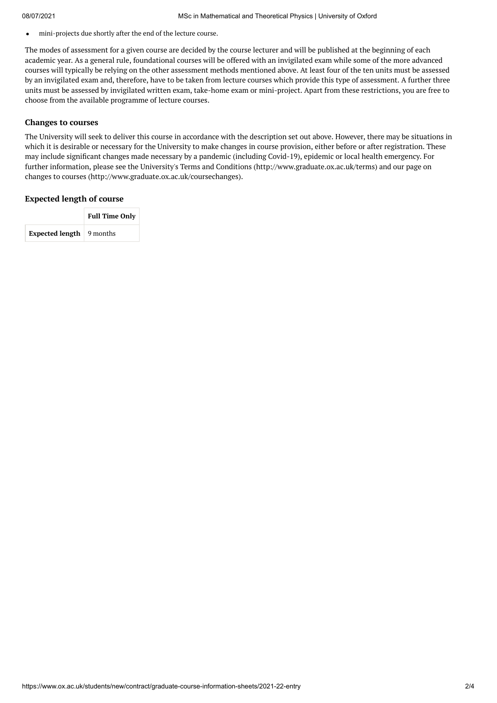mini-projects due shortly after the end of the lecture course.  $\bullet$ 

The modes of assessment for a given course are decided by the course lecturer and will be published at the beginning of each academic year. As a general rule, foundational courses will be offered with an invigilated exam while some of the more advanced courses will typically be relying on the other assessment methods mentioned above. At least four of the ten units must be assessed by an invigilated exam and, therefore, have to be taken from lecture courses which provide this type of assessment. A further three units must be assessed by invigilated written exam, take-home exam or mini-project. Apart from these restrictions, you are free to choose from the available programme of lecture courses.

#### **Changes to courses**

The University will seek to deliver this course in accordance with the description set out above. However, there may be situations in which it is desirable or necessary for the University to make changes in course provision, either before or after registration. These may include significant changes made necessary by a pandemic (including Covid-19), epidemic or local health emergency. For further information, please see the University's Terms and Conditions (http://www.graduate.ox.ac.uk/terms) and our page on changes to courses (http://www.graduate.ox.ac.uk/coursechanges).

#### **Expected length of course**

|                                         | <b>Full Time Only</b> |  |  |
|-----------------------------------------|-----------------------|--|--|
| <b>Expected length</b> $\vert$ 9 months |                       |  |  |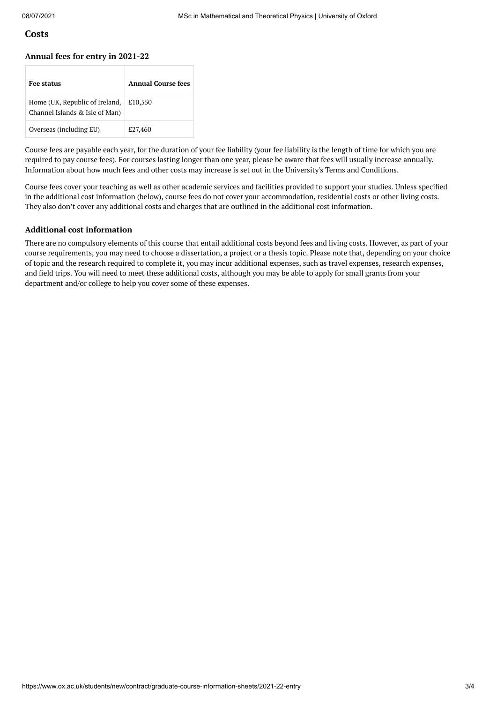#### **Costs**

#### **Annual fees for entry in 2021-22**

| <b>Fee status</b>                                                | Annual Course fees |
|------------------------------------------------------------------|--------------------|
| Home (UK, Republic of Ireland,<br>Channel Islands & Isle of Man) | £10,550            |
| Overseas (including EU)                                          | £27,460            |

Course fees are payable each year, for the duration of your fee liability (your fee liability is the length of time for which you are required to pay course fees). For courses lasting longer than one year, please be aware that fees will usually increase annually. Information about how much fees and other costs may increase is set out in the University's Terms and Conditions.

Course fees cover your teaching as well as other academic services and facilities provided to support your studies. Unless specified in the additional cost information (below), course fees do not cover your accommodation, residential costs or other living costs. They also don't cover any additional costs and charges that are outlined in the additional cost information.

#### **Additional cost information**

There are no compulsory elements of this course that entail additional costs beyond fees and living costs. However, as part of your course requirements, you may need to choose a dissertation, a project or a thesis topic. Please note that, depending on your choice of topic and the research required to complete it, you may incur additional expenses, such as travel expenses, research expenses, and field trips. You will need to meet these additional costs, although you may be able to apply for small grants from your department and/or college to help you cover some of these expenses.